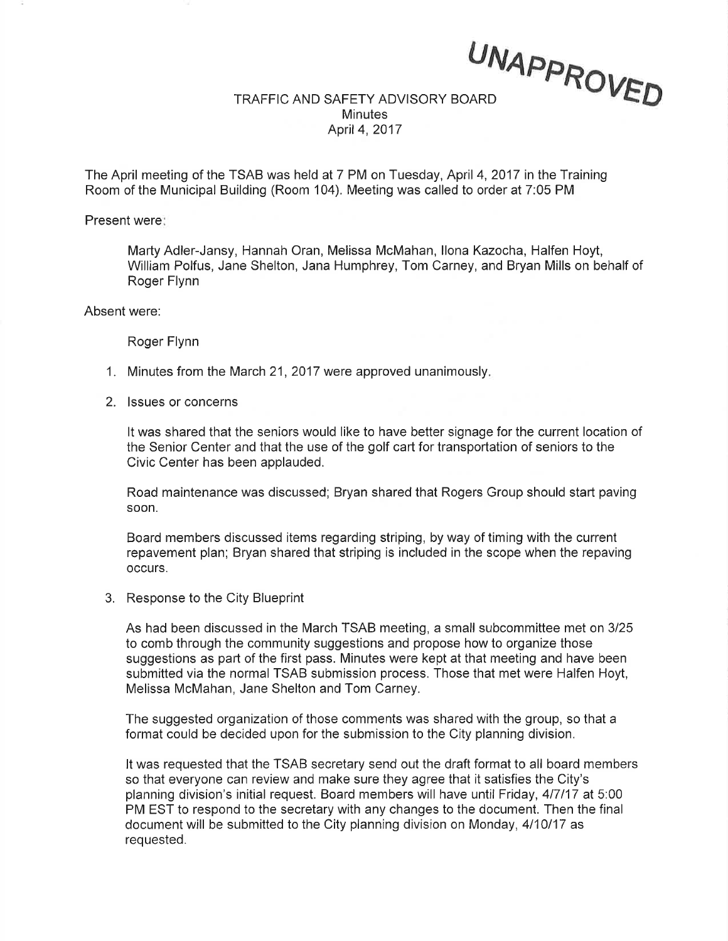## UNAPPROYE,D TRAFFIC AND SAFETY ADVISORY BOARD **Minutes** April4,2017

The April meeting of the TSAB was held at 7 PM on Tuesday, April 4,2017 in the Training Room of the Municipal Building (Room 104). Meeting was called to order at 7:05 PM

Present were

Marty Adler-Jansy, Hannah Oran, Melissa McMahan, llona Kazocha, Halfen Hoyt, William Polfus, Jane Shelton, Jana Humphrey, Tom Carney, and Bryan Mills on behalf of Roger Flynn

Absent were:

Roger Flynn

- 1. Minutes from the March 21, 2017 were approved unanimously
- 2. lssues or concerns

It was shared that the seniors would like to have better signage for the current location of the Senior Center and that the use of the golf cart for transportation of seniors to the Civic Center has been applauded.

Road maintenance was discussed; Bryan shared that Rogers Group should start paving soon.

Board members discussed items regarding striping, by way of timing with the current repavement plan; Bryan shared that striping is included in the scope when the repaving occurs.

3. Response to the City Blueprint

As had been discussed in the March TSAB meeting, a small subcommittee met on 3125 to comb through the community suggestions and propose how to organize those suggestions as part of the first pass. Minutes were kept at that meeting and have been submitted via the normal TSAB submission process. Those that met were Halfen Hoyt, Melissa McMahan, Jane Shelton and Tom Carney.

The suggested organization of those comments was shared with the group, so that a format could be decided upon for the submission to the City planning division.

It was requested that the TSAB secretary send out the draft format to all board members so that everyone can review and make sure they agree that it satisfies the City's planning division's initial request. Board members will have until Friday,4l7l17 at 5:00 PM EST to respond to the secretary with any changes to the document. Then the final document will be submitted to the City planning division on Monday, 4110117 as requested.